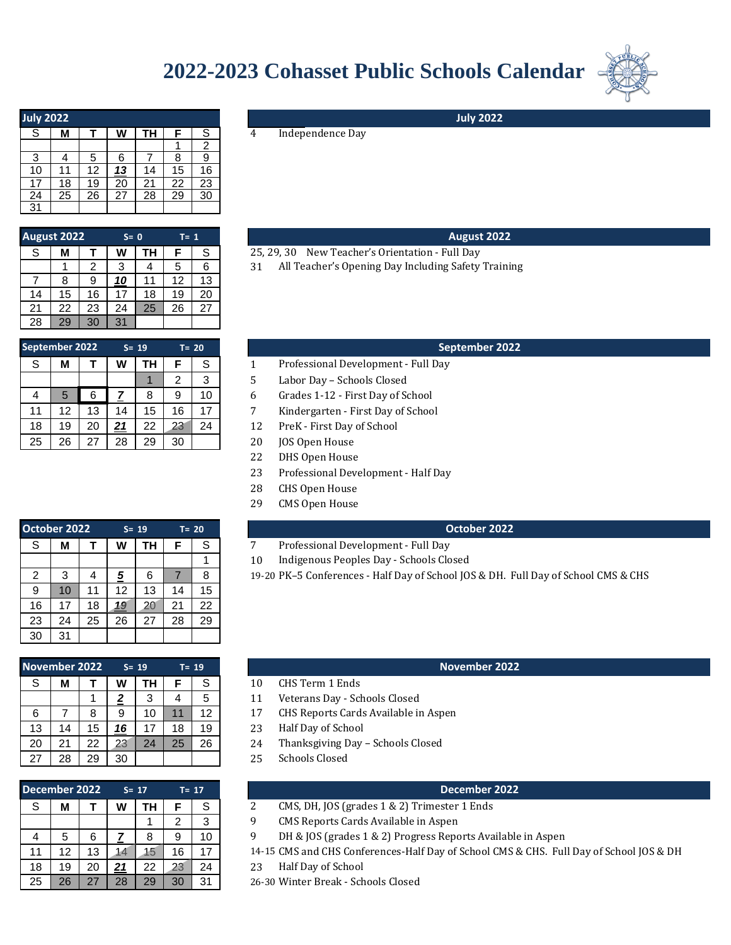# **2022-2023 Cohasset Public Schools Calendar**



| <b>July 2022</b> |    |    |    |           |    |    |
|------------------|----|----|----|-----------|----|----|
| S                | М  |    | W  | <b>TH</b> | F  | S  |
|                  |    |    |    |           |    | 2  |
| 3                |    | 5  | 6  |           | 8  | 9  |
| 10               | 11 | 12 | 13 | 14        | 15 | 16 |
| 17               | 18 | 19 | 20 | 21        | 22 | 23 |
| 24               | 25 | 26 | 27 | 28        | 29 | 30 |
| 31               |    |    |    |           |    |    |

| <b>August 2022</b> |    |    | $S = 0$ |    | $T = 1$ |    |    |
|--------------------|----|----|---------|----|---------|----|----|
| S                  | М  |    | W       | TН | F       | S  | 25 |
|                    |    | 2  | 3       |    | 5       | 6  | 31 |
|                    | 8  |    | 10      | 11 | 12      | 13 |    |
| 14                 | 15 | 16 | 17      | 18 | 19      | 20 |    |
| 21                 | 22 | 23 | 24      | 25 | 26      | 27 |    |
| 28                 | 29 | 30 | 31      |    |         |    |    |

|   |          |          |          | 31 | 30 | 29 | 28             |
|---|----------|----------|----------|----|----|----|----------------|
|   |          | $T = 20$ | $S = 19$ |    |    |    | September 2022 |
|   | S        | F        | ΤН       | W  |    | М  | S              |
| 5 | 3        | 2        |          |    |    |    |                |
| 6 | 10       | 9        | 8        |    | 6  | 5  |                |
| 7 | 17       | 16       | 15       | 14 | 13 | 12 | 11             |
| 1 | $\Omega$ | റാ       | າາ       | 21 | ററ | 10 | 40             |

4 Independence Day

# **August 2022**

**July 2022**

- 25, 29, 30 New Teacher's Orientation Full Day
- All Teacher's Opening Day Including Safety Training

### **September 2022**

- Professional Development Full Day
- 5 Labor Day Schools Closed
- 6 Grades 1-12 First Day of School
- 7 Kindergarten First Day of School
- 23 24 **12** PreK First Day of School
- 26 | 27 | 28 | 29 | 30 | | | 20 | JOS Open House
	- 22 DHS Open House
	- 23 Professional Development Half Day
	- 28 CHS Open House
	- 29 CMS Open House

#### **October 2022**

- Professional Development Full Day
- $10$ Indigenous Peoples Day - Schools Closed
- 2 3 4 *5* 6 7 8 *4* 19-20 PK–5 Conferences Half Day of School JOS & DH. Full Day of School CMS & CHS

### **November 2022**

- CHS Term 1 Ends
- Veterans Day Schools Closed
- CHS Reports Cards Available in Aspen
- Half Day of School
- Thanksgiving Day Schools Closed
- Schools Closed

#### **December 2022 December 2022**

- CMS, DH, JOS (grades 1 & 2) Trimester 1 Ends
- CMS Reports Cards Available in Aspen
- DH & JOS (grades 1 & 2) Progress Reports Available in Aspen
- 11 | 12 | 13 | 14 | 15 | 16 | 17 | 14-15 CMS and CHS Conferences-Half Day of School CMS & CHS. Full Day of School JOS & DH
	- Half Day of School
	- 26-30 Winter Break Schools Closed

| October 2022 |    |    |          | $S = 19$ |    | $T = 20$ |   |
|--------------|----|----|----------|----------|----|----------|---|
| S            | М  |    | W        | TН       | F  | S        | 7 |
|              |    |    |          |          |    |          | 1 |
| 2            | 3  |    | <u>5</u> | 6        |    | 8        | 1 |
| 9            | 10 | 11 | 12       | 13       | 14 | 15       |   |
| 16           | 17 | 18 | 19       | 20       | 21 | 22       |   |
| 23           | 24 | 25 | 26       | 27       | 28 | 29       |   |
| 30           | 31 |    |          |          |    |          |   |

# **S= 19 T= 19** S **M T W TH F** S 10 1 **2** 3 4 5 11 6 7 8 9 10 11 12 *4* 17 13 14 15 *16* 17 18 19 *5* 23 20 21 22 23 24 25 26 *3* 24 27 28 29 30 *3* 25 **November 2022**

| December 2022 |    |    |            | $S = 17$ | $T = 17$ |    |           |
|---------------|----|----|------------|----------|----------|----|-----------|
| S             | м  |    | W          | ΤН       | F        | S  | 2         |
|               |    |    |            |          | 2        | 3  | q         |
|               | 5  | 6  |            | 8        | 9        | 10 | q         |
| 11            | 12 | 13 | 14         | 15       | 16       | 17 | 14-15     |
| 18            | 19 | 20 | <u> 21</u> | 22       | 23       | 24 | 23        |
| 25            | 26 | 27 | 28         | 29       | 30       | 31 | $26 - 30$ |